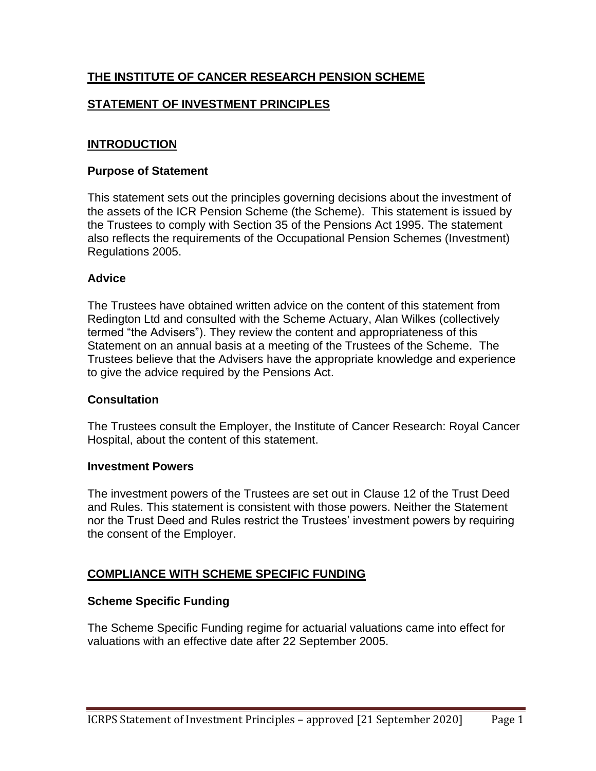# **THE INSTITUTE OF CANCER RESEARCH PENSION SCHEME**

# **STATEMENT OF INVESTMENT PRINCIPLES**

## **INTRODUCTION**

#### **Purpose of Statement**

This statement sets out the principles governing decisions about the investment of the assets of the ICR Pension Scheme (the Scheme). This statement is issued by the Trustees to comply with Section 35 of the Pensions Act 1995. The statement also reflects the requirements of the Occupational Pension Schemes (Investment) Regulations 2005.

## **Advice**

The Trustees have obtained written advice on the content of this statement from Redington Ltd and consulted with the Scheme Actuary, Alan Wilkes (collectively termed "the Advisers"). They review the content and appropriateness of this Statement on an annual basis at a meeting of the Trustees of the Scheme. The Trustees believe that the Advisers have the appropriate knowledge and experience to give the advice required by the Pensions Act.

## **Consultation**

The Trustees consult the Employer, the Institute of Cancer Research: Royal Cancer Hospital, about the content of this statement.

#### **Investment Powers**

The investment powers of the Trustees are set out in Clause 12 of the Trust Deed and Rules. This statement is consistent with those powers. Neither the Statement nor the Trust Deed and Rules restrict the Trustees' investment powers by requiring the consent of the Employer.

## **COMPLIANCE WITH SCHEME SPECIFIC FUNDING**

## **Scheme Specific Funding**

The Scheme Specific Funding regime for actuarial valuations came into effect for valuations with an effective date after 22 September 2005.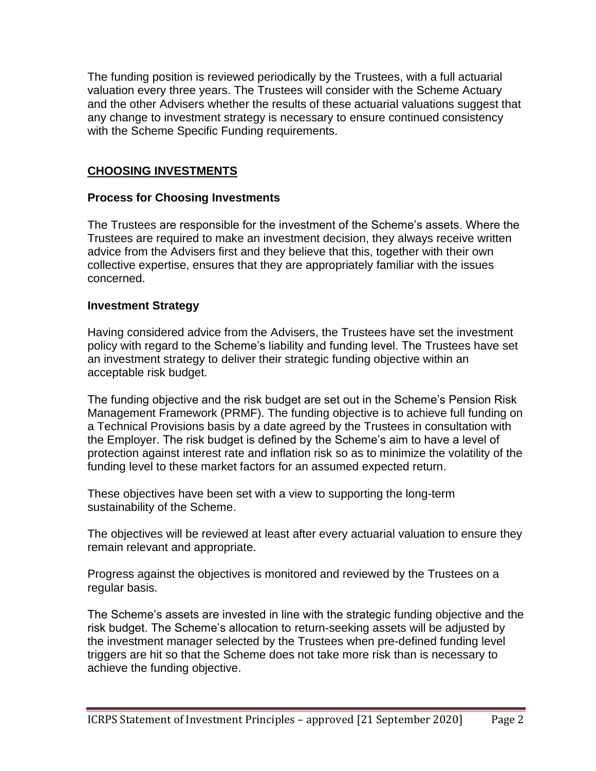The funding position is reviewed periodically by the Trustees, with a full actuarial valuation every three years. The Trustees will consider with the Scheme Actuary and the other Advisers whether the results of these actuarial valuations suggest that any change to investment strategy is necessary to ensure continued consistency with the Scheme Specific Funding requirements.

# **CHOOSING INVESTMENTS**

# **Process for Choosing Investments**

The Trustees are responsible for the investment of the Scheme's assets. Where the Trustees are required to make an investment decision, they always receive written advice from the Advisers first and they believe that this, together with their own collective expertise, ensures that they are appropriately familiar with the issues concerned.

## **Investment Strategy**

Having considered advice from the Advisers, the Trustees have set the investment policy with regard to the Scheme's liability and funding level. The Trustees have set an investment strategy to deliver their strategic funding objective within an acceptable risk budget.

The funding objective and the risk budget are set out in the Scheme's Pension Risk Management Framework (PRMF). The funding objective is to achieve full funding on a Technical Provisions basis by a date agreed by the Trustees in consultation with the Employer. The risk budget is defined by the Scheme's aim to have a level of protection against interest rate and inflation risk so as to minimize the volatility of the funding level to these market factors for an assumed expected return.

These objectives have been set with a view to supporting the long-term sustainability of the Scheme.

The objectives will be reviewed at least after every actuarial valuation to ensure they remain relevant and appropriate.

Progress against the objectives is monitored and reviewed by the Trustees on a regular basis.

The Scheme's assets are invested in line with the strategic funding objective and the risk budget. The Scheme's allocation to return-seeking assets will be adjusted by the investment manager selected by the Trustees when pre-defined funding level triggers are hit so that the Scheme does not take more risk than is necessary to achieve the funding objective.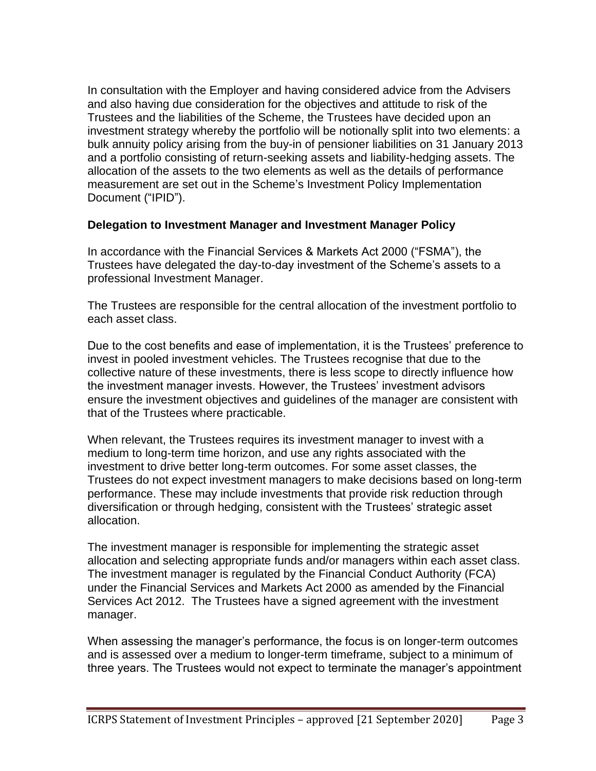In consultation with the Employer and having considered advice from the Advisers and also having due consideration for the objectives and attitude to risk of the Trustees and the liabilities of the Scheme, the Trustees have decided upon an investment strategy whereby the portfolio will be notionally split into two elements: a bulk annuity policy arising from the buy-in of pensioner liabilities on 31 January 2013 and a portfolio consisting of return-seeking assets and liability-hedging assets. The allocation of the assets to the two elements as well as the details of performance measurement are set out in the Scheme's Investment Policy Implementation Document ("IPID").

## **Delegation to Investment Manager and Investment Manager Policy**

In accordance with the Financial Services & Markets Act 2000 ("FSMA"), the Trustees have delegated the day-to-day investment of the Scheme's assets to a professional Investment Manager.

The Trustees are responsible for the central allocation of the investment portfolio to each asset class.

Due to the cost benefits and ease of implementation, it is the Trustees' preference to invest in pooled investment vehicles. The Trustees recognise that due to the collective nature of these investments, there is less scope to directly influence how the investment manager invests. However, the Trustees' investment advisors ensure the investment objectives and guidelines of the manager are consistent with that of the Trustees where practicable.

When relevant, the Trustees requires its investment manager to invest with a medium to long-term time horizon, and use any rights associated with the investment to drive better long-term outcomes. For some asset classes, the Trustees do not expect investment managers to make decisions based on long-term performance. These may include investments that provide risk reduction through diversification or through hedging, consistent with the Trustees' strategic asset allocation.

The investment manager is responsible for implementing the strategic asset allocation and selecting appropriate funds and/or managers within each asset class. The investment manager is regulated by the Financial Conduct Authority (FCA) under the Financial Services and Markets Act 2000 as amended by the Financial Services Act 2012. The Trustees have a signed agreement with the investment manager.

When assessing the manager's performance, the focus is on longer-term outcomes and is assessed over a medium to longer-term timeframe, subject to a minimum of three years. The Trustees would not expect to terminate the manager's appointment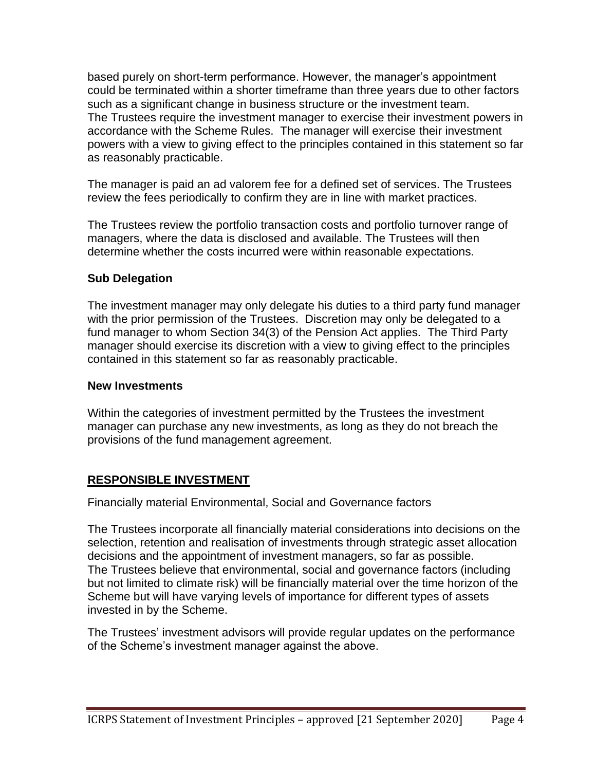based purely on short-term performance. However, the manager's appointment could be terminated within a shorter timeframe than three years due to other factors such as a significant change in business structure or the investment team. The Trustees require the investment manager to exercise their investment powers in accordance with the Scheme Rules. The manager will exercise their investment powers with a view to giving effect to the principles contained in this statement so far as reasonably practicable.

The manager is paid an ad valorem fee for a defined set of services. The Trustees review the fees periodically to confirm they are in line with market practices.

The Trustees review the portfolio transaction costs and portfolio turnover range of managers, where the data is disclosed and available. The Trustees will then determine whether the costs incurred were within reasonable expectations.

# **Sub Delegation**

The investment manager may only delegate his duties to a third party fund manager with the prior permission of the Trustees. Discretion may only be delegated to a fund manager to whom Section 34(3) of the Pension Act applies. The Third Party manager should exercise its discretion with a view to giving effect to the principles contained in this statement so far as reasonably practicable.

## **New Investments**

Within the categories of investment permitted by the Trustees the investment manager can purchase any new investments, as long as they do not breach the provisions of the fund management agreement.

# **RESPONSIBLE INVESTMENT**

Financially material Environmental, Social and Governance factors

The Trustees incorporate all financially material considerations into decisions on the selection, retention and realisation of investments through strategic asset allocation decisions and the appointment of investment managers, so far as possible. The Trustees believe that environmental, social and governance factors (including but not limited to climate risk) will be financially material over the time horizon of the Scheme but will have varying levels of importance for different types of assets invested in by the Scheme.

The Trustees' investment advisors will provide regular updates on the performance of the Scheme's investment manager against the above.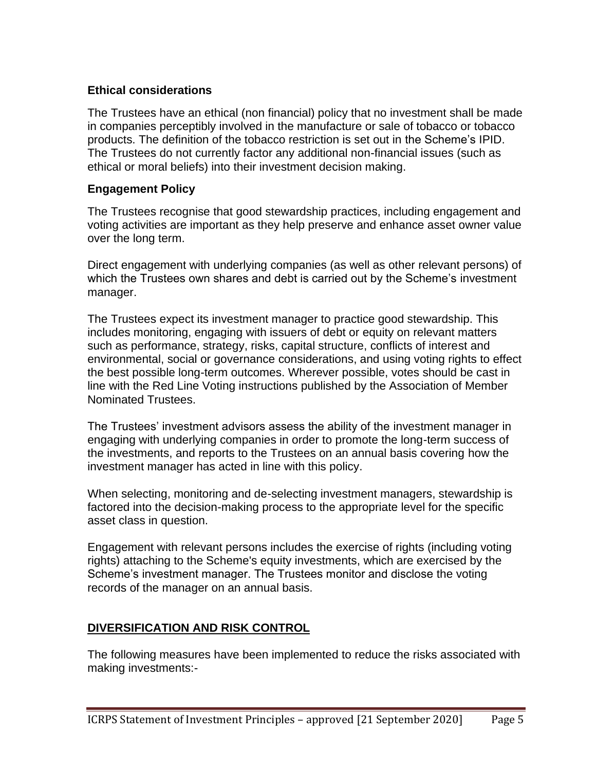# **Ethical considerations**

The Trustees have an ethical (non financial) policy that no investment shall be made in companies perceptibly involved in the manufacture or sale of tobacco or tobacco products. The definition of the tobacco restriction is set out in the Scheme's IPID. The Trustees do not currently factor any additional non-financial issues (such as ethical or moral beliefs) into their investment decision making.

## **Engagement Policy**

The Trustees recognise that good stewardship practices, including engagement and voting activities are important as they help preserve and enhance asset owner value over the long term.

Direct engagement with underlying companies (as well as other relevant persons) of which the Trustees own shares and debt is carried out by the Scheme's investment manager.

The Trustees expect its investment manager to practice good stewardship. This includes monitoring, engaging with issuers of debt or equity on relevant matters such as performance, strategy, risks, capital structure, conflicts of interest and environmental, social or governance considerations, and using voting rights to effect the best possible long-term outcomes. Wherever possible, votes should be cast in line with the Red Line Voting instructions published by the Association of Member Nominated Trustees.

The Trustees' investment advisors assess the ability of the investment manager in engaging with underlying companies in order to promote the long-term success of the investments, and reports to the Trustees on an annual basis covering how the investment manager has acted in line with this policy.

When selecting, monitoring and de-selecting investment managers, stewardship is factored into the decision-making process to the appropriate level for the specific asset class in question.

Engagement with relevant persons includes the exercise of rights (including voting rights) attaching to the Scheme's equity investments, which are exercised by the Scheme's investment manager. The Trustees monitor and disclose the voting records of the manager on an annual basis.

# **DIVERSIFICATION AND RISK CONTROL**

The following measures have been implemented to reduce the risks associated with making investments:-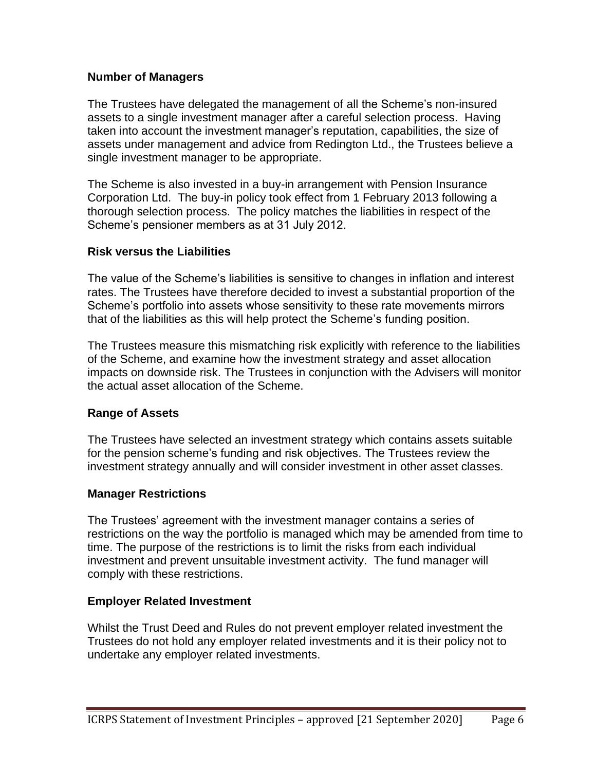## **Number of Managers**

The Trustees have delegated the management of all the Scheme's non-insured assets to a single investment manager after a careful selection process. Having taken into account the investment manager's reputation, capabilities, the size of assets under management and advice from Redington Ltd., the Trustees believe a single investment manager to be appropriate.

The Scheme is also invested in a buy-in arrangement with Pension Insurance Corporation Ltd. The buy-in policy took effect from 1 February 2013 following a thorough selection process. The policy matches the liabilities in respect of the Scheme's pensioner members as at 31 July 2012.

## **Risk versus the Liabilities**

The value of the Scheme's liabilities is sensitive to changes in inflation and interest rates. The Trustees have therefore decided to invest a substantial proportion of the Scheme's portfolio into assets whose sensitivity to these rate movements mirrors that of the liabilities as this will help protect the Scheme's funding position.

The Trustees measure this mismatching risk explicitly with reference to the liabilities of the Scheme, and examine how the investment strategy and asset allocation impacts on downside risk. The Trustees in conjunction with the Advisers will monitor the actual asset allocation of the Scheme.

# **Range of Assets**

The Trustees have selected an investment strategy which contains assets suitable for the pension scheme's funding and risk objectives. The Trustees review the investment strategy annually and will consider investment in other asset classes.

## **Manager Restrictions**

The Trustees' agreement with the investment manager contains a series of restrictions on the way the portfolio is managed which may be amended from time to time. The purpose of the restrictions is to limit the risks from each individual investment and prevent unsuitable investment activity. The fund manager will comply with these restrictions.

## **Employer Related Investment**

Whilst the Trust Deed and Rules do not prevent employer related investment the Trustees do not hold any employer related investments and it is their policy not to undertake any employer related investments.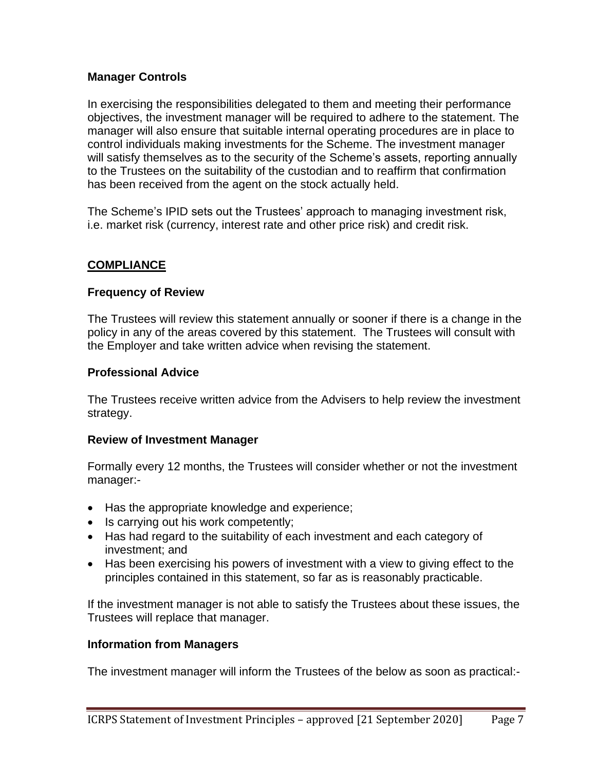# **Manager Controls**

In exercising the responsibilities delegated to them and meeting their performance objectives, the investment manager will be required to adhere to the statement. The manager will also ensure that suitable internal operating procedures are in place to control individuals making investments for the Scheme. The investment manager will satisfy themselves as to the security of the Scheme's assets, reporting annually to the Trustees on the suitability of the custodian and to reaffirm that confirmation has been received from the agent on the stock actually held.

The Scheme's IPID sets out the Trustees' approach to managing investment risk, i.e. market risk (currency, interest rate and other price risk) and credit risk.

## **COMPLIANCE**

## **Frequency of Review**

The Trustees will review this statement annually or sooner if there is a change in the policy in any of the areas covered by this statement. The Trustees will consult with the Employer and take written advice when revising the statement.

#### **Professional Advice**

The Trustees receive written advice from the Advisers to help review the investment strategy.

#### **Review of Investment Manager**

Formally every 12 months, the Trustees will consider whether or not the investment manager:-

- Has the appropriate knowledge and experience;
- Is carrying out his work competently;
- Has had regard to the suitability of each investment and each category of investment; and
- Has been exercising his powers of investment with a view to giving effect to the principles contained in this statement, so far as is reasonably practicable.

If the investment manager is not able to satisfy the Trustees about these issues, the Trustees will replace that manager.

#### **Information from Managers**

The investment manager will inform the Trustees of the below as soon as practical:-